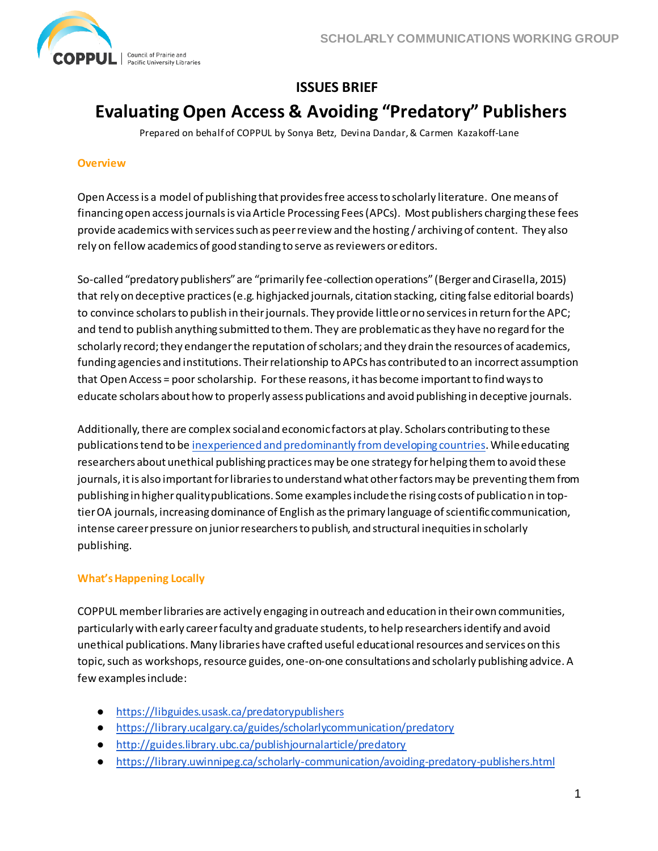

# **ISSUES BRIEF**

# **Evaluating Open Access & Avoiding "Predatory" Publishers**

Prepared on behalf of COPPUL by Sonya Betz, Devina Dandar, & Carmen Kazakoff-Lane

#### **Overview**

Open Access is a model of publishing that provides free access to scholarly literature. One means of financing open access journals is via Article Processing Fees (APCs). Most publishers charging these fees provide academics with services such as peer review and the hosting / archiving of content. They also rely on fellow academics of good standing to serve as reviewers or editors.

So-called "predatory publishers" are "primarily fee-collection operations" (Berger and Cirasella, 2015) that rely on deceptive practices (e.g. highjacked journals, citation stacking, citing false editorial boards) to convince scholars to publish in their journals. They provide little or no services in return for the APC; and tend to publish anything submitted to them. They are problematic as they have no regard for the scholarly record; they endanger the reputation of scholars; and they drain the resources of academics, funding agencies and institutions. Their relationship to APCs has contributed to an incorrect assumption that Open Access = poor scholarship. For these reasons, it has become important to find ways to educate scholars about how to properly assess publications and avoid publishing in deceptive journals.

Additionally, there are complex social and economic factors at play. Scholars contributing to these publications tend to b[e inexperienced and predominantly from developing countries](https://scholarworks.iupui.edu/handle/1805/9740). While educating researchers about unethical publishing practices may be one strategy for helping them to avoid these journals, it is also important for libraries to understand what other factors may be preventing them from publishing in higher quality publications. Some examples include the rising costs of publication in toptier OA journals, increasing dominance of English as the primary language of scientific communication, intense career pressure on junior researchers to publish, and structural inequities in scholarly publishing.

#### **What's Happening Locally**

COPPUL member libraries are actively engaging in outreach and education in their own communities, particularly with early career faculty and graduate students, to help researchers identify and avoid unethical publications. Many libraries have crafted useful educational resources and services on this topic, such as workshops, resource guides, one-on-one consultations and scholarly publishing advice. A few examples include:

- <https://libguides.usask.ca/predatorypublishers>
- <https://library.ucalgary.ca/guides/scholarlycommunication/predatory>
- <http://guides.library.ubc.ca/publishjournalarticle/predatory>
- <https://library.uwinnipeg.ca/scholarly-communication/avoiding-predatory-publishers.html>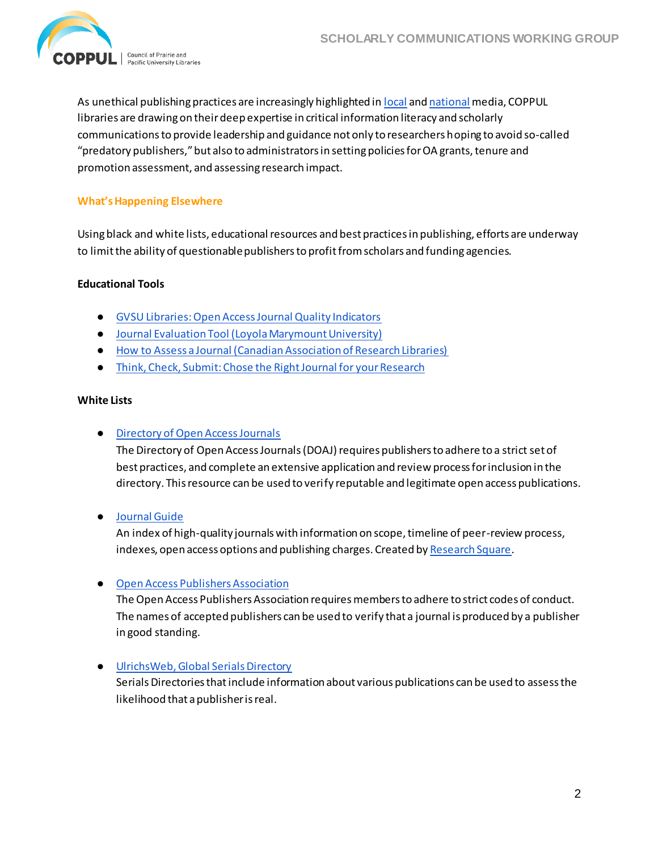

As unethical publishing practices are increasingly highlighted i[n local](http://ottawacitizen.com/news/local-news/predatory-journal-has-firm-grip-on-universities-in-ottawa-and-canada) an[d national](https://www.ctvnews.ca/health/predatory-publishing-a-growing-problem-warn-scientists-1.3623844) media, COPPUL libraries are drawing on their deep expertise in critical information literacy and scholarly communications to provide leadership and guidance not only to researchers hoping to avoid so-called "predatory publishers," but also to administrators in setting policies for OA grants, tenure and promotion assessment, and assessing research impact.

#### **What's Happening Elsewhere**

Using black and white lists, educational resources and best practices in publishing, efforts are underway to limit the ability of questionable publishers to profit from scholars and funding agencies.

#### **Educational Tools**

- [GVSU Libraries: Open Access Journal Quality Indicators](https://www.gvsu.edu/library/sc/open-access-journal-quality-indicators-5.htm?contentid=55CF3930-A59F-2E80-4047441205947E73)
- [Journal Evaluation Tool \(Loyola Marymount University\)](http://digitalcommons.lmu.edu/cgi/viewcontent.cgi?article=1041&context=librarian_pubs)
- [How to Assess a Journal \(Canadian Association of Research Libraries\)](http://www.carl-abrc.ca/how-to-assess-a-journal/)
- **•** Think, Check, Submit: Chose the Right Journal for your Research

#### **White Lists**

#### ● Directory of [Open Access Journals](https://doaj.org/)

The Directory of Open Access Journals (DOAJ) requires publishers to adhere to a strict set of best practices, and complete an extensive application and review process for inclusion in the directory. This resource can be used to verify reputable and legitimate open access publications.

● [Journal Guide](https://www.journalguide.com/)

An index of high-quality journals with information on scope, timeline of peer-review process, indexes, open access options and publishing charges. Created b[y Research Square](https://www.researchsquare.com/).

#### ● [Open Access Publishers Association](https://oaspa.org/)

The Open Access Publishers Association requires members to adhere to strict codes of conduct. The names of accepted publishers can be used to verify that a journal is produced by a publisher in good standing.

● [UlrichsWeb, Global Serials Directory](http://www.proquest.com/products-services/Ulrichsweb.html)

Serials Directories thatinclude information about various publications can be used to assess the likelihood that a publisher is real.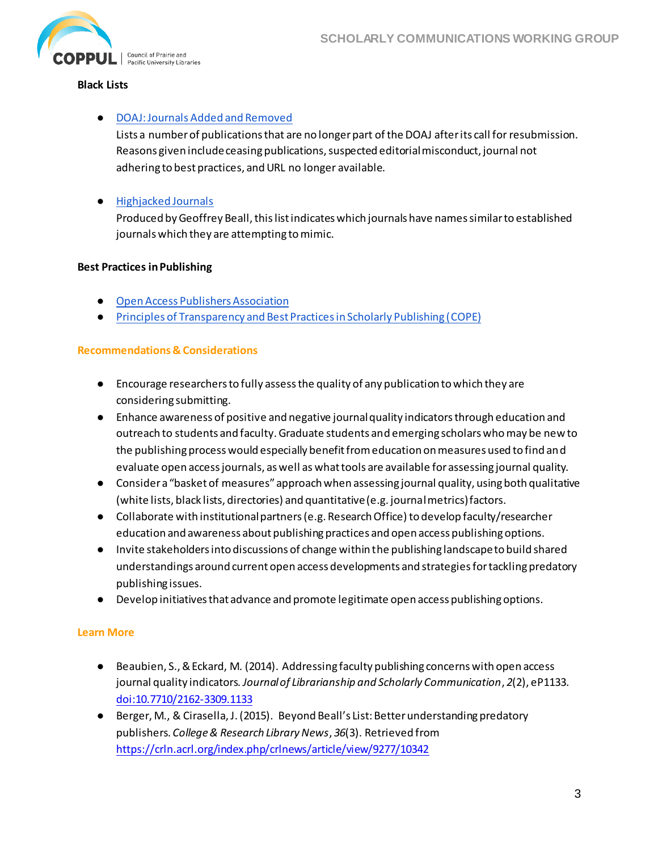

#### **Black Lists**

# ● DOAJ: Journals [Added and Removed](https://docs.google.com/spreadsheets/d/183mRBRqs2jOyP0qZWXN8dUd02D4vL0Mov_kgYF8HORM/htmlview)

Lists a number of publications that are no longer part of the DOAJ after its call for resubmission. Reasons given include ceasing publications, suspected editorial misconduct, journal not adhering to best practices, and URL no longer available.

# ● [Highjacked Journals](https://beallslist.weebly.com/hijacked-journals.html)

Produced by Geoffrey Beall, this list indicates which journals have names similar to established journals which they are attempting to mimic.

#### **Best Practices in Publishing**

- [Open Access Publishers Association](https://oaspa.org/)
- [Principles of Transparency and Best Practices in Scholarly Publishing \(COPE\)](https://publicationethics.org/resources/guidelines-new/principles-transparency-and-best-practice-scholarly-publishing)

### **Recommendations & Considerations**

- Encourage researchers to fully assess the quality of any publication to which they are considering submitting.
- Enhance awareness of positive and negative journal quality indicators through education and outreach to students and faculty. Graduate students and emerging scholars who may be new to the publishing process would especially benefit from education on measures used to find and evaluate open access journals, as well as what tools are available for assessing journal quality.
- Consider a "basket of measures" approach when assessing journal quality, using both qualitative (white lists, black lists, directories) and quantitative (e.g. journal metrics) factors.
- Collaborate with institutional partners (e.g. Research Office) to develop faculty/researcher education and awareness about publishing practices and open access publishing options.
- Invite stakeholders into discussions of change within the publishing landscape to build shared understandings around current open access developments and strategies for tackling predatory publishing issues.
- Develop initiatives that advance and promote legitimate open access publishing options.

# **Learn More**

- Beaubien, S., & Eckard, M. (2014). Addressing faculty publishing concerns with open access journal quality indicators. *Journal of Librarianship and Scholarly Communication*, *2*(2), eP1133. [doi:10.7710/2162-3309.1133](https://jlsc-pub.org/articles/abstract/10.7710/2162-3309.1133/)
- Berger, M., & Cirasella, J. (2015). Beyond Beall's List: Better understanding predatory publishers. *College & Research Library News*, *36*(3). Retrieved from <https://crln.acrl.org/index.php/crlnews/article/view/9277/10342>